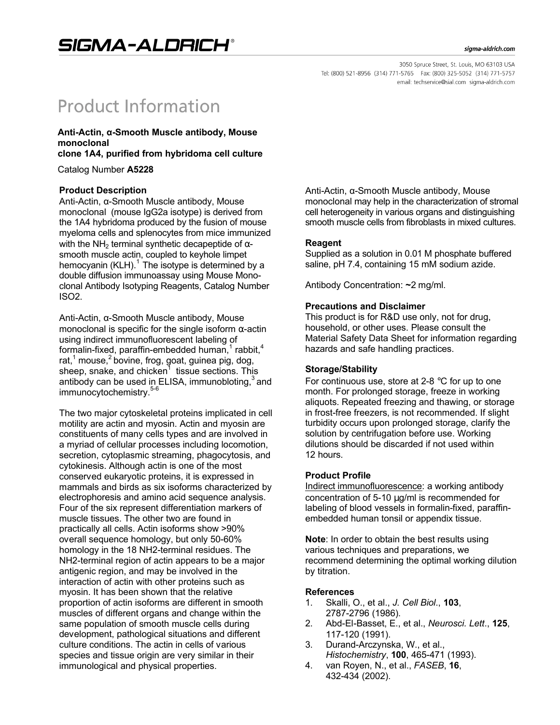# **Product Information**

## **Anti-Actin, α-Smooth Muscle antibody, Mouse monoclonal**

**clone 1A4, purified from hybridoma cell culture**

Catalog Number **A5228**

### **Product Description**

Anti-Actin, α-Smooth Muscle antibody, Mouse monoclonal (mouse IgG2a isotype) is derived from the 1A4 hybridoma produced by the fusion of mouse myeloma cells and splenocytes from mice immunized with the NH<sub>2</sub> terminal synthetic decapeptide of  $α$ smooth muscle actin, coupled to keyhole limpet hemocyanin (KLH).<sup>1</sup> The isotype is determined by a double diffusion immunoassay using Mouse Monoclonal Antibody Isotyping Reagents, Catalog Number ISO2.

Anti-Actin, α-Smooth Muscle antibody, Mouse monoclonal is specific for the single isoform  $\alpha$ -actin using indirect immunofluorescent labeling of formalin-fixed, paraffin-embedded human, $1$  rabbit, $4$ rat, $1$  mouse, $2$  bovine, frog, goat, guinea pig, dog, sheep, snake, and chicken<sup>1</sup> tissue sections. This antibody can be used in ELISA, immunobloting, $3$  and immunocytochemistry.<sup>5</sup>

The two major cytoskeletal proteins implicated in cell motility are actin and myosin. Actin and myosin are constituents of many cells types and are involved in a myriad of cellular processes including locomotion, secretion, cytoplasmic streaming, phagocytosis, and cytokinesis. Although actin is one of the most conserved eukaryotic proteins, it is expressed in mammals and birds as six isoforms characterized by electrophoresis and amino acid sequence analysis. Four of the six represent differentiation markers of muscle tissues. The other two are found in practically all cells. Actin isoforms show >90% overall sequence homology, but only 50-60% homology in the 18 NH2-terminal residues. The NH2-terminal region of actin appears to be a major antigenic region, and may be involved in the interaction of actin with other proteins such as myosin. It has been shown that the relative proportion of actin isoforms are different in smooth muscles of different organs and change within the same population of smooth muscle cells during development, pathological situations and different culture conditions. The actin in cells of various species and tissue origin are very similar in their immunological and physical properties.

Anti-Actin, α-Smooth Muscle antibody, Mouse monoclonal may help in the characterization of stromal cell heterogeneity in various organs and distinguishing smooth muscle cells from fibroblasts in mixed cultures.

### **Reagent**

Supplied as a solution in 0.01 M phosphate buffered saline, pH 7.4, containing 15 mM sodium azide.

Antibody Concentration: **~**2 mg/ml.

### **Precautions and Disclaimer**

This product is for R&D use only, not for drug, household, or other uses. Please consult the Material Safety Data Sheet for information regarding hazards and safe handling practices.

## **Storage/Stability**

For continuous use, store at 2-8  $\degree$ C for up to one month. For prolonged storage, freeze in working aliquots. Repeated freezing and thawing, or storage in frost-free freezers, is not recommended. If slight turbidity occurs upon prolonged storage, clarify the solution by centrifugation before use. Working dilutions should be discarded if not used within 12 hours.

## **Product Profile**

Indirect immunofluorescence: a working antibody concentration of 5-10 μg/ml is recommended for labeling of blood vessels in formalin-fixed, paraffinembedded human tonsil or appendix tissue.

**Note**: In order to obtain the best results using various techniques and preparations, we recommend determining the optimal working dilution by titration.

#### **References**

- 1. Skalli, O., et al., *J. Cell Biol*., **103**, 2787-2796 (1986).
- 2. Abd-El-Basset, E., et al., *Neurosci. Lett*., **125**, 117-120 (1991).
- 3. Durand-Arczynska, W., et al., *Histochemistry*, **100**, 465-471 (1993).
- 4. van Royen, N., et al., *FASEB*, **16**, 432-434 (2002).